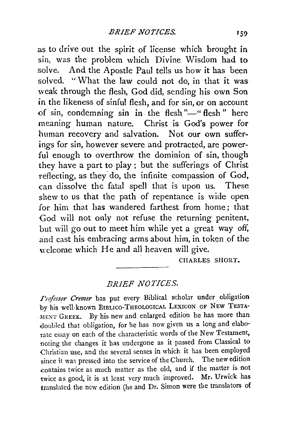as to drive out the spirit of license which brought in sin, was the problem which Divine Wisdom had to solve. And the Apostle Paul tells us how it has been solved. "What the law could not do, in that it was weak through the flesh, God did, sending his own Son in the likeness of sinful flesh, and for sin, or on account of sin, condemning sin in the flesh"-" flesh" here meaning human nature. Christ is God's power for human recovery and salvation. Not our own sufferings for sin, however severe and protracted, are powerful enough to overthrow the dominion of sin, though they have a part to play ; but the sufferings of Christ reflecting, as they do, the infinite compassion of God, can dissolve the fatal spell that is upon us. These shew to us that the path of repentance is wide open for him that has wandered farthest from home; that God will not only not refuse the returning penitent, but will go out to meet him while yet a great way off, and cast his embracing arms about him, in token of the welcome which He and all heaven will give.

CHARLES SHORT.

## *BRIEF NOTICES.*

*Frofessor Cremer* has put every Biblical scholar under obligation by his well-known BIBLICO-THEOLOGICAL LEXICON OF NEW TESTA-MENT GREEK. By his new and enlarged edition he has more than -doubled that obligation, for he has now given us a long and elaborate essay on each of the characteristic words of the New Testament, noting the changes it has undergone as it passed from Classical to Christian use, and the several senses in which it has been employed since it was pressed into the service of the Church. The new edition .contains twice as much matter as the old, and if the matter is not twice as good, it is at least very much improved. Mr. Urwick has translated the new edition (he and Dr. Simon were the translators of